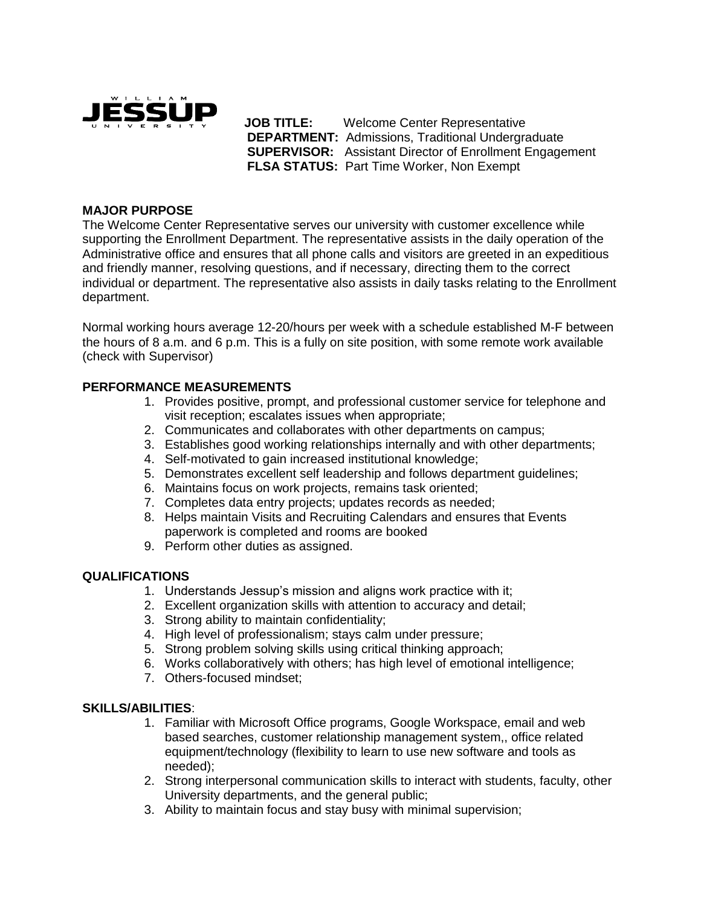

 **JOB TITLE:** Welcome Center Representative **DEPARTMENT:** Admissions, Traditional Undergraduate **SUPERVISOR:** Assistant Director of Enrollment Engagement **FLSA STATUS:** Part Time Worker, Non Exempt

# **MAJOR PURPOSE**

The Welcome Center Representative serves our university with customer excellence while supporting the Enrollment Department. The representative assists in the daily operation of the Administrative office and ensures that all phone calls and visitors are greeted in an expeditious and friendly manner, resolving questions, and if necessary, directing them to the correct individual or department. The representative also assists in daily tasks relating to the Enrollment department.

Normal working hours average 12-20/hours per week with a schedule established M-F between the hours of 8 a.m. and 6 p.m. This is a fully on site position, with some remote work available (check with Supervisor)

## **PERFORMANCE MEASUREMENTS**

- 1. Provides positive, prompt, and professional customer service for telephone and visit reception; escalates issues when appropriate;
- 2. Communicates and collaborates with other departments on campus;
- 3. Establishes good working relationships internally and with other departments;
- 4. Self-motivated to gain increased institutional knowledge;
- 5. Demonstrates excellent self leadership and follows department guidelines;
- 6. Maintains focus on work projects, remains task oriented;
- 7. Completes data entry projects; updates records as needed;
- 8. Helps maintain Visits and Recruiting Calendars and ensures that Events paperwork is completed and rooms are booked
- 9. Perform other duties as assigned.

## **QUALIFICATIONS**

- 1. Understands Jessup's mission and aligns work practice with it;
- 2. Excellent organization skills with attention to accuracy and detail;
- 3. Strong ability to maintain confidentiality;
- 4. High level of professionalism; stays calm under pressure;
- 5. Strong problem solving skills using critical thinking approach;
- 6. Works collaboratively with others; has high level of emotional intelligence;
- 7. Others-focused mindset;

#### **SKILLS/ABILITIES**:

- 1. Familiar with Microsoft Office programs, Google Workspace, email and web based searches, customer relationship management system,, office related equipment/technology (flexibility to learn to use new software and tools as needed);
- 2. Strong interpersonal communication skills to interact with students, faculty, other University departments, and the general public;
- 3. Ability to maintain focus and stay busy with minimal supervision;